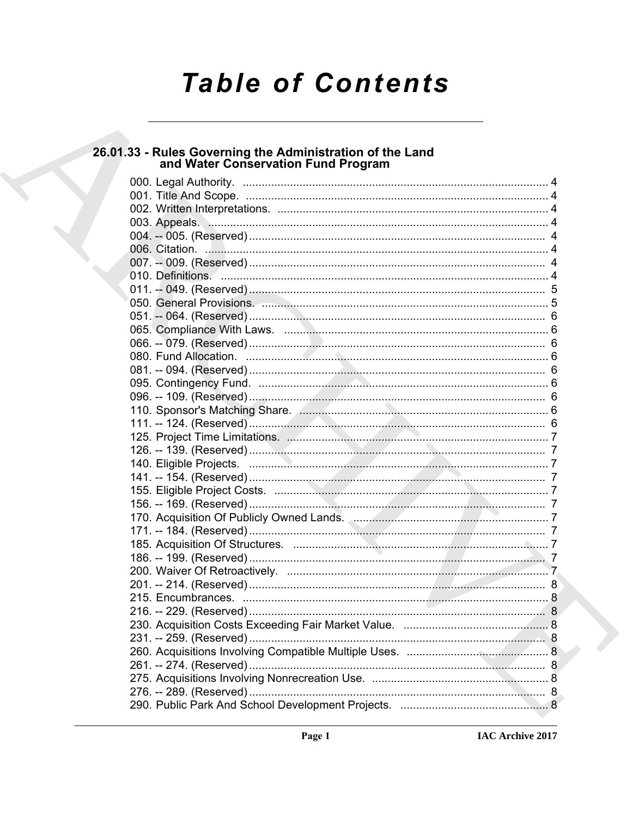# **Table of Contents**

# 26.01.33 - Rules Governing the Administration of the Land<br>and Water Conservation Fund Program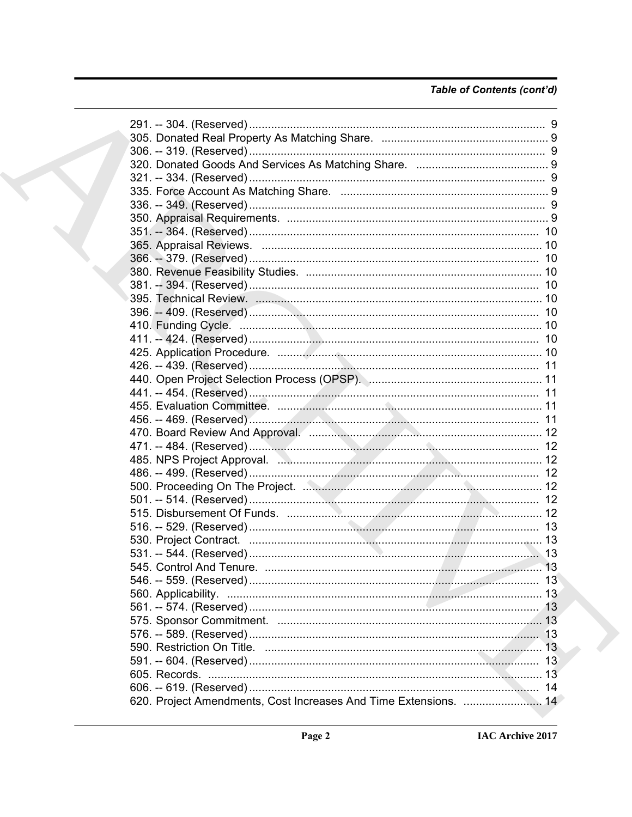### Table of Contents (cont'd)

| 470. Board Review And Approval. <b>Access 2018 Marshall Access 2018</b> 12 |  |
|----------------------------------------------------------------------------|--|
|                                                                            |  |
|                                                                            |  |
|                                                                            |  |
|                                                                            |  |
|                                                                            |  |
|                                                                            |  |
|                                                                            |  |
|                                                                            |  |
|                                                                            |  |
|                                                                            |  |
|                                                                            |  |
|                                                                            |  |
|                                                                            |  |
|                                                                            |  |
|                                                                            |  |
|                                                                            |  |
|                                                                            |  |
|                                                                            |  |
|                                                                            |  |
|                                                                            |  |
| 620. Project Amendments, Cost Increases And Time Extensions.  14           |  |
|                                                                            |  |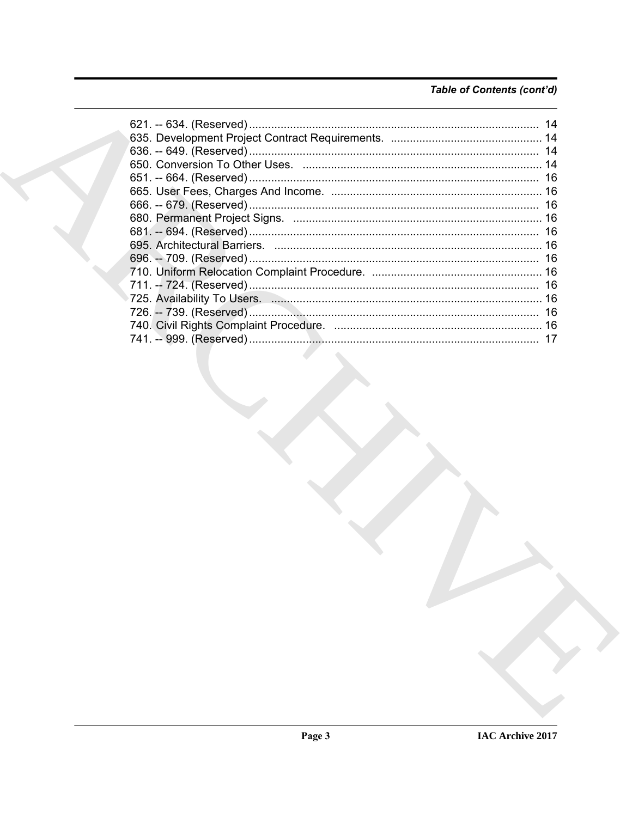### Table of Contents (cont'd)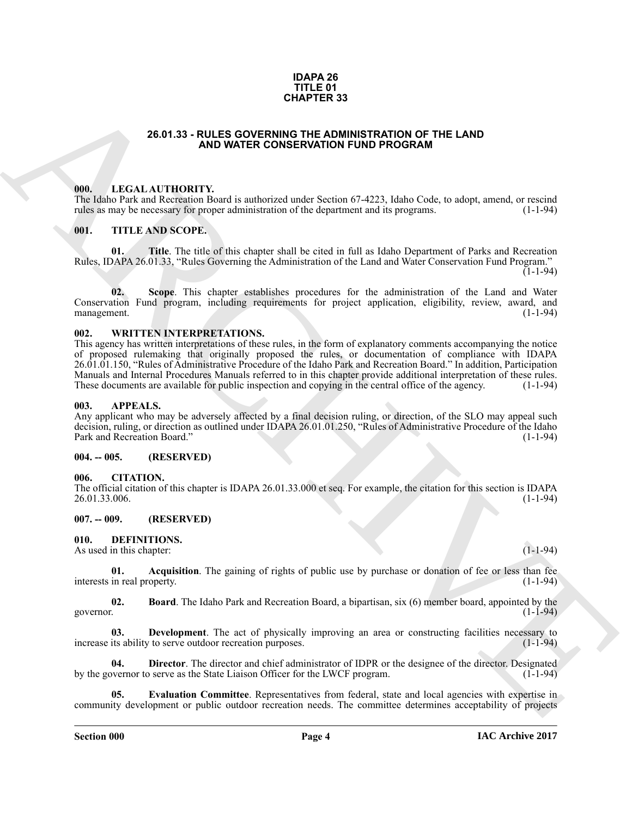#### **IDAPA 26 TITLE 01 CHAPTER 33**

#### **26.01.33 - RULES GOVERNING THE ADMINISTRATION OF THE LAND AND WATER CONSERVATION FUND PROGRAM**

#### <span id="page-3-1"></span><span id="page-3-0"></span>**000. LEGAL AUTHORITY.**

The Idaho Park and Recreation Board is authorized under Section 67-4223, Idaho Code, to adopt, amend, or rescind rules as may be necessary for proper administration of the department and its programs. (1-1-94) rules as may be necessary for proper administration of the department and its programs.

#### <span id="page-3-2"></span>**001. TITLE AND SCOPE.**

**01. Title**. The title of this chapter shall be cited in full as Idaho Department of Parks and Recreation Rules, IDAPA 26.01.33, "Rules Governing the Administration of the Land and Water Conservation Fund Program."  $(1-1-94)$ 

**02. Scope**. This chapter establishes procedures for the administration of the Land and Water Conservation Fund program, including requirements for project application, eligibility, review, award, and management. (1-1-94)

#### <span id="page-3-3"></span>**002. WRITTEN INTERPRETATIONS.**

**26.01.33 - RULES GOVERNERS 33**<br> **ARCHIVENTE VANDATER CONSERVATION CONTRACT CONTRACT CONTRACT CONTRACT CONTRACT CONTRACT CONTRACT CONTRACT CONTRACT CONTRACT CONTRACT CONTRACT CONTRACT CONTRACT CONTRACT CONTRACT CONTRACT C** This agency has written interpretations of these rules, in the form of explanatory comments accompanying the notice of proposed rulemaking that originally proposed the rules, or documentation of compliance with IDAPA 26.01.01.150, "Rules of Administrative Procedure of the Idaho Park and Recreation Board." In addition, Participation Manuals and Internal Procedures Manuals referred to in this chapter provide additional interpretation of these rules.<br>These documents are available for public inspection and copying in the central office of the agency. (1-These documents are available for public inspection and copying in the central office of the agency.

#### <span id="page-3-4"></span>**003. APPEALS.**

Any applicant who may be adversely affected by a final decision ruling, or direction, of the SLO may appeal such decision, ruling, or direction as outlined under IDAPA 26.01.01.250, "Rules of Administrative Procedure of the Idaho<br>Park and Recreation Board." (1-1-94) Park and Recreation Board."

#### <span id="page-3-5"></span>**004. -- 005. (RESERVED)**

#### <span id="page-3-6"></span>**006. CITATION.**

The official citation of this chapter is IDAPA 26.01.33.000 et seq. For example, the citation for this section is IDAPA 26.01.33.006. (1-1-94)

#### <span id="page-3-7"></span>**007. -- 009. (RESERVED)**

#### <span id="page-3-9"></span><span id="page-3-8"></span>**010. DEFINITIONS.**

As used in this chapter: (1-1-94) (1-1-94)

<span id="page-3-10"></span>**01. Acquisition**. The gaining of rights of public use by purchase or donation of fee or less than fee in real property. (1-1-94) interests in real property.

<span id="page-3-11"></span>**02. Board**. The Idaho Park and Recreation Board, a bipartisan, six (6) member board, appointed by the governor. (1-1-94) governor. (1-1-94)

<span id="page-3-12"></span>**03. Development**. The act of physically improving an area or constructing facilities necessary to its ability to serve outdoor recreation purposes. (1-1-94) increase its ability to serve outdoor recreation purposes.

<span id="page-3-13"></span>**04. Director**. The director and chief administrator of IDPR or the designee of the director. Designated overnor to serve as the State Liaison Officer for the LWCF program. (1-1-94) by the governor to serve as the State Liaison Officer for the LWCF program.

<span id="page-3-14"></span>**05. Evaluation Committee**. Representatives from federal, state and local agencies with expertise in community development or public outdoor recreation needs. The committee determines acceptability of projects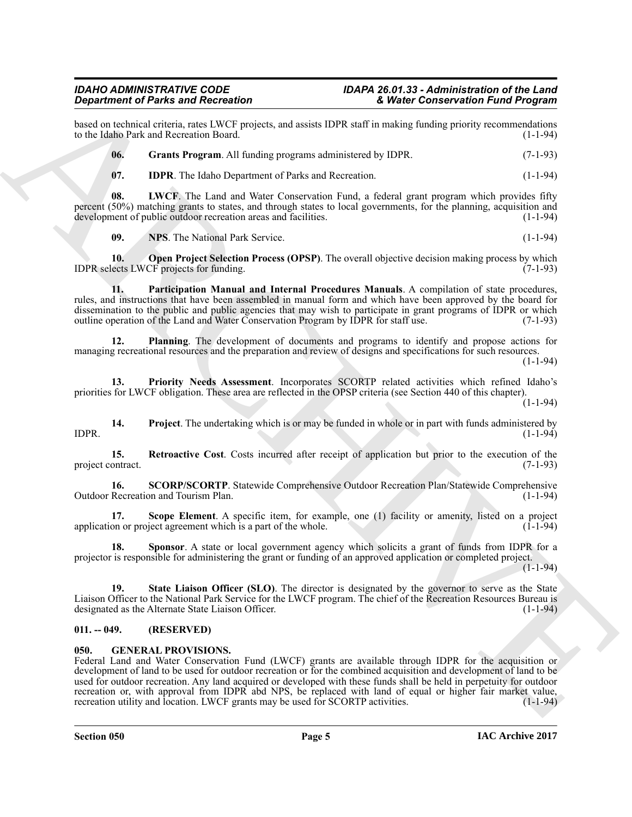## *Department of Parks and Recreation*

based on technical criteria, rates LWCF projects, and assists IDPR staff in making funding priority recommendations to the Idaho Park and Recreation Board.

<span id="page-4-2"></span>**06.** Grants Program. All funding programs administered by IDPR. (7-1-93)

<span id="page-4-4"></span><span id="page-4-3"></span>**07. IDPR**. The Idaho Department of Parks and Recreation. (1-1-94)

**08.** LWCF. The Land and Water Conservation Fund, a federal grant program which provides fifty percent (50%) matching grants to states, and through states to local governments, for the planning, acquisition and development of public outdoor recreation areas and facilities. (1-1-94)

<span id="page-4-7"></span><span id="page-4-6"></span><span id="page-4-5"></span>**09. NPS**. The National Park Service. (1-1-94)

**10. Open Project Selection Process (OPSP)**. The overall objective decision making process by which lects LWCF projects for funding. (7-1-93) IDPR selects LWCF projects for funding.

**11. Participation Manual and Internal Procedures Manuals**. A compilation of state procedures, rules, and instructions that have been assembled in manual form and which have been approved by the board for dissemination to the public and public agencies that may wish to participate in grant programs of IDPR or which outline operation of the Land and Water Conservation Program by IDPR for staff use. (7-1-93) outline operation of the Land and Water Conservation Program by IDPR for staff use.

<span id="page-4-8"></span>**12. Planning**. The development of documents and programs to identify and propose actions for managing recreational resources and the preparation and review of designs and specifications for such resources.

(1-1-94)

<span id="page-4-9"></span>**13. Priority Needs Assessment**. Incorporates SCORTP related activities which refined Idaho's priorities for LWCF obligation. These area are reflected in the OPSP criteria (see Section 440 of this chapter). (1-1-94)

<span id="page-4-10"></span>**14. Project**. The undertaking which is or may be funded in whole or in part with funds administered by (1-1-94) IDPR. (1-1-94)

<span id="page-4-11"></span>**15. Retroactive Cost**. Costs incurred after receipt of application but prior to the execution of the project contract. (7-1-93)

<span id="page-4-13"></span>**16. SCORP/SCORTP**. Statewide Comprehensive Outdoor Recreation Plan/Statewide Comprehensive Recreation and Tourism Plan. Outdoor Recreation and Tourism Plan.

<span id="page-4-12"></span>**17. Scope Element**. A specific item, for example, one (1) facility or amenity, listed on a project on or project agreement which is a part of the whole. (1) application or project agreement which is a part of the whole.

<span id="page-4-14"></span>**18.** Sponsor. A state or local government agency which solicits a grant of funds from IDPR for a projector is responsible for administering the grant or funding of an approved application or completed project.  $(1 - 1 - 94)$ 

<span id="page-4-15"></span>**19. State Liaison Officer (SLO)**. The director is designated by the governor to serve as the State Liaison Officer to the National Park Service for the LWCF program. The chief of the Recreation Resources Bureau is designated as the Alternate State Liaison Officer. (1-1-94)

### <span id="page-4-0"></span>**011. -- 049. (RESERVED)**

#### <span id="page-4-16"></span><span id="page-4-1"></span>**050. GENERAL PROVISIONS.**

*Given the Branch Charles Containers and the same of the same of the same of the same of the same of the same of the same of the same of the same of the same of the same of the same of the same of the same of the same of* Federal Land and Water Conservation Fund (LWCF) grants are available through IDPR for the acquisition or development of land to be used for outdoor recreation or for the combined acquisition and development of land to be used for outdoor recreation. Any land acquired or developed with these funds shall be held in perpetuity for outdoor recreation or, with approval from IDPR abd NPS, be replaced with land of equal or higher fair market value, recreation utility and location. LWCF grants may be used for SCORTP activities. (1-1-94) recreation utility and location. LWCF grants may be used for SCORTP activities.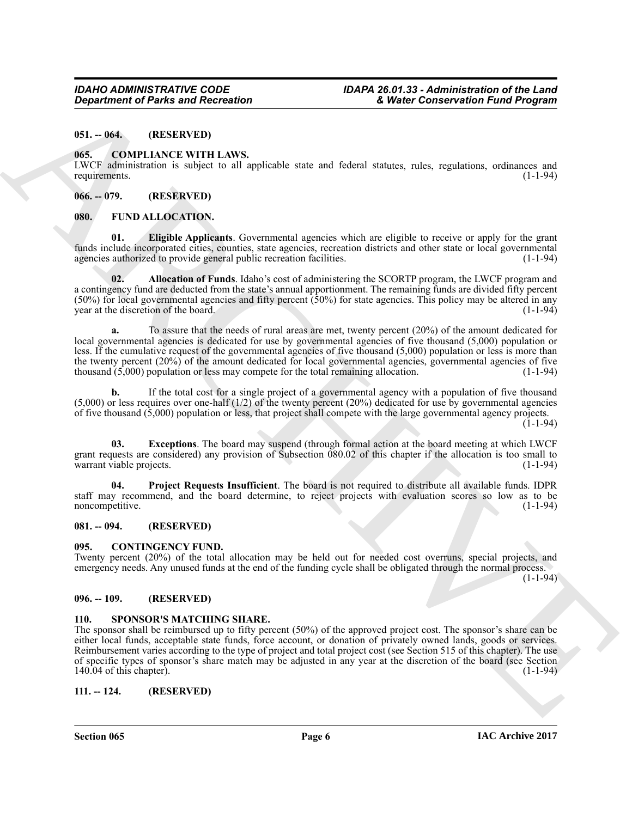<span id="page-5-0"></span>**051. -- 064. (RESERVED)**

#### <span id="page-5-9"></span><span id="page-5-1"></span>**065. COMPLIANCE WITH LAWS.**

LWCF administration is subject to all applicable state and federal statutes, rules, regulations, ordinances and requirements. (1-1-94)

#### <span id="page-5-2"></span>**066. -- 079. (RESERVED)**

#### <span id="page-5-11"></span><span id="page-5-3"></span>**080. FUND ALLOCATION.**

<span id="page-5-13"></span>**01. Eligible Applicants**. Governmental agencies which are eligible to receive or apply for the grant funds include incorporated cities, counties, state agencies, recreation districts and other state or local governmental agencies authorized to provide general public recreation facilities. (1-1-94) agencies authorized to provide general public recreation facilities.

<span id="page-5-12"></span>**02. Allocation of Funds**. Idaho's cost of administering the SCORTP program, the LWCF program and a contingency fund are deducted from the state's annual apportionment. The remaining funds are divided fifty percent (50%) for local governmental agencies and fifty percent (50%) for state agencies. This policy may be altered in any year at the discretion of the board. (1-1-94)

**a.** To assure that the needs of rural areas are met, twenty percent (20%) of the amount dedicated for local governmental agencies is dedicated for use by governmental agencies of five thousand (5,000) population or less. If the cumulative request of the governmental agencies of five thousand (5,000) population or less is more than the twenty percent (20%) of the amount dedicated for local governmental agencies, governmental agencies of five thousand  $(5,000)$  population or less may compete for the total remaining allocation.  $(1-1-94)$ 

**b.** If the total cost for a single project of a governmental agency with a population of five thousand (5,000) or less requires over one-half (1/2) of the twenty percent (20%) dedicated for use by governmental agencies of five thousand (5,000) population or less, that project shall compete with the large governmental agency projects.

 $(1-1-94)$ 

<span id="page-5-14"></span>**03. Exceptions**. The board may suspend (through formal action at the board meeting at which LWCF grant requests are considered) any provision of Subsection 080.02 of this chapter if the allocation is too small to warrant viable projects. (1-1-94)

<span id="page-5-15"></span>**04. Project Requests Insufficient**. The board is not required to distribute all available funds. IDPR staff may recommend, and the board determine, to reject projects with evaluation scores so low as to be noncompetitive.

#### <span id="page-5-4"></span>**081. -- 094. (RESERVED)**

#### <span id="page-5-10"></span><span id="page-5-5"></span>**095. CONTINGENCY FUND.**

Twenty percent (20%) of the total allocation may be held out for needed cost overruns, special projects, and emergency needs. Any unused funds at the end of the funding cycle shall be obligated through the normal process.

 $(1-1-94)$ 

#### <span id="page-5-6"></span>**096. -- 109. (RESERVED)**

#### <span id="page-5-16"></span><span id="page-5-7"></span>**110. SPONSOR'S MATCHING SHARE.**

*Constraint of Parks and Recreation*<br>
81. **40. CONSUMPLY CONSULTS (EVALUATE ARCHIVES)**<br>
16. **40. CONSULTS CONSULTS (EVALUATE ARCHIVES)**<br>
16. **40. 40. 40. 40. 40. 40. 40. 40. 40. 40. 40. 40. 4** The sponsor shall be reimbursed up to fifty percent (50%) of the approved project cost. The sponsor's share can be either local funds, acceptable state funds, force account, or donation of privately owned lands, goods or services. Reimbursement varies according to the type of project and total project cost (see Section 515 of this chapter). The use of specific types of sponsor's share match may be adjusted in any year at the discretion of the board (see Section 140.04 of this chapter).  $140.04$  of this chapter).

#### <span id="page-5-8"></span>**111. -- 124. (RESERVED)**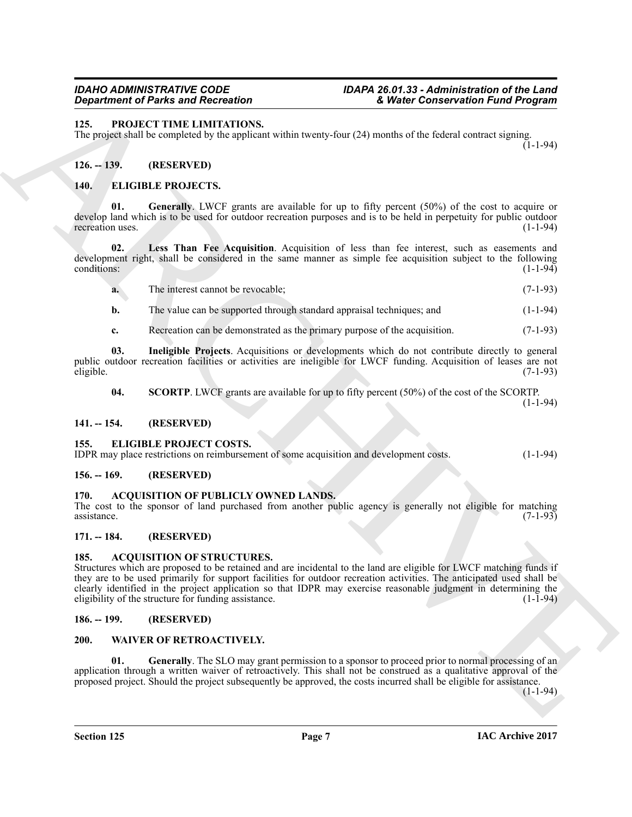### <span id="page-6-19"></span><span id="page-6-0"></span>**125. PROJECT TIME LIMITATIONS.**

The project shall be completed by the applicant within twenty-four (24) months of the federal contract signing.  $(1-1-94)$ 

#### <span id="page-6-1"></span>**126. -- 139. (RESERVED)**

#### <span id="page-6-15"></span><span id="page-6-14"></span><span id="page-6-2"></span>**140. ELIGIBLE PROJECTS.**

**01. Generally**. LWCF grants are available for up to fifty percent (50%) of the cost to acquire or develop land which is to be used for outdoor recreation purposes and is to be held in perpetuity for public outdoor recreation uses.  $(1-1-94)$ 

**02. Less Than Fee Acquisition**. Acquisition of less than fee interest, such as easements and development right, shall be considered in the same manner as simple fee acquisition subject to the following conditions: (1-1-94) conditions: (1-1-94)

<span id="page-6-17"></span>**a.** The interest cannot be revocable; (7-1-93)

**b.** The value can be supported through standard appraisal techniques; and  $(1-1-94)$ 

<span id="page-6-16"></span>**c.** Recreation can be demonstrated as the primary purpose of the acquisition. (7-1-93)

**03. Ineligible Projects**. Acquisitions or developments which do not contribute directly to general public outdoor recreation facilities or activities are ineligible for LWCF funding. Acquisition of leases are not eligible. (7-1-93) eligible. (7-1-93)

<span id="page-6-18"></span>**04. SCORTP**. LWCF grants are available for up to fifty percent (50%) of the cost of the SCORTP.

(1-1-94)

#### <span id="page-6-3"></span>**141. -- 154. (RESERVED)**

#### <span id="page-6-13"></span><span id="page-6-4"></span>**155. ELIGIBLE PROJECT COSTS.**

IDPR may place restrictions on reimbursement of some acquisition and development costs. (1-1-94)

#### <span id="page-6-5"></span>**156. -- 169. (RESERVED)**

#### <span id="page-6-11"></span><span id="page-6-6"></span>**170. ACQUISITION OF PUBLICLY OWNED LANDS.**

The cost to the sponsor of land purchased from another public agency is generally not eligible for matching assistance.  $(7-1-93)$  $\alpha$ ssistance. (7-1-93)

#### <span id="page-6-7"></span>**171. -- 184. (RESERVED)**

#### <span id="page-6-12"></span><span id="page-6-8"></span>**185. ACQUISITION OF STRUCTURES.**

**EXAMPLE OF EXAMPLE SECURE SECURITE SECURITE SECURITE SECURITE SECURITE SECURITE SECURITE SECURITE SECURITE SECURITE SECURITE SECURITE SECURITE SECURITE SECURITE SECURITE SECURITE SECURITE SECURITE SECURITE SECURITE SECUR** Structures which are proposed to be retained and are incidental to the land are eligible for LWCF matching funds if they are to be used primarily for support facilities for outdoor recreation activities. The anticipated used shall be clearly identified in the project application so that IDPR may exercise reasonable judgment in determining the eligibility of the structure for funding assistance.

#### <span id="page-6-9"></span>**186. -- 199. (RESERVED)**

#### <span id="page-6-20"></span><span id="page-6-10"></span>**200. WAIVER OF RETROACTIVELY.**

<span id="page-6-21"></span>**01. Generally**. The SLO may grant permission to a sponsor to proceed prior to normal processing of an application through a written waiver of retroactively. This shall not be construed as a qualitative approval of the proposed project. Should the project subsequently be approved, the costs incurred shall be eligible for assistance.

 $(1-1-94)$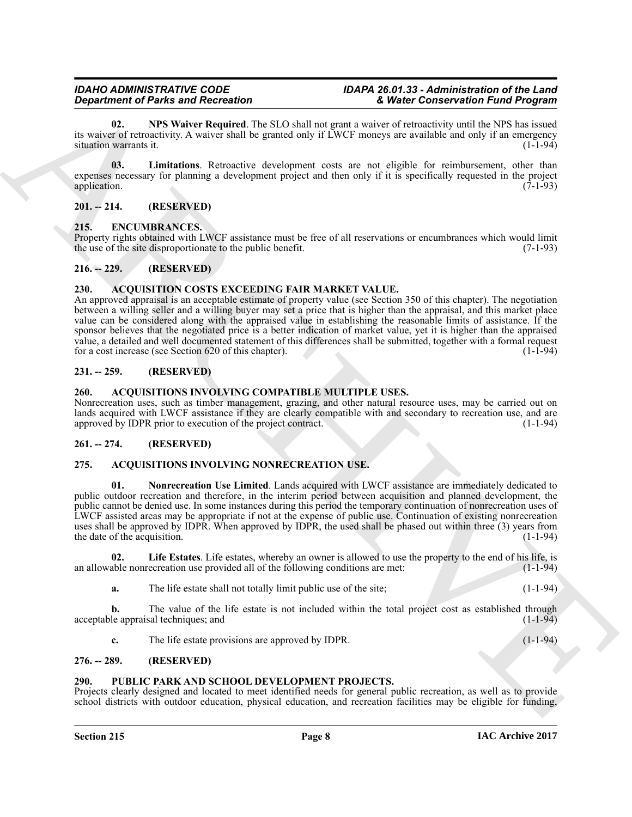<span id="page-7-18"></span>**02. NPS Waiver Required**. The SLO shall not grant a waiver of retroactivity until the NPS has issued its waiver of retroactivity. A waiver shall be granted only if LWCF moneys are available and only if an emergency<br>situation warrants it. (1-1-94) situation warrants it.

<span id="page-7-17"></span>**03. Limitations**. Retroactive development costs are not eligible for reimbursement, other than expenses necessary for planning a development project and then only if it is specifically requested in the project application. (7-1-93) application. (7-1-93)

#### <span id="page-7-0"></span>**201. -- 214. (RESERVED)**

### <span id="page-7-15"></span><span id="page-7-1"></span>**215. ENCUMBRANCES.**

Property rights obtained with LWCF assistance must be free of all reservations or encumbrances which would limit the use of the site disproportionate to the public benefit. (7-1-93) the use of the site disproportionate to the public benefit.

### <span id="page-7-2"></span>**216. -- 229. (RESERVED)**

### <span id="page-7-10"></span><span id="page-7-3"></span>**230. ACQUISITION COSTS EXCEEDING FAIR MARKET VALUE.**

*Department of Pains and Recordings* of the state state and the state and the state of the *Chinese Context* and the *Chinese Context* and the *Chinese Context* and the *Chinese Context* and the *Chinese Context* and th An approved appraisal is an acceptable estimate of property value (see Section 350 of this chapter). The negotiation between a willing seller and a willing buyer may set a price that is higher than the appraisal, and this market place value can be considered along with the appraised value in establishing the reasonable limits of assistance. If the sponsor believes that the negotiated price is a better indication of market value, yet it is higher than the appraised value, a detailed and well documented statement of this differences shall be submitted, together with a formal request<br>for a cost increase (see Section 620 of this chapter). for a cost increase (see Section 620 of this chapter).

#### <span id="page-7-4"></span>**231. -- 259. (RESERVED)**

#### <span id="page-7-11"></span><span id="page-7-5"></span>**260. ACQUISITIONS INVOLVING COMPATIBLE MULTIPLE USES.**

Nonrecreation uses, such as timber management, grazing, and other natural resource uses, may be carried out on lands acquired with LWCF assistance if they are clearly compatible with and secondary to recreation use, and are approved by IDPR prior to execution of the project contract. approved by IDPR prior to execution of the project contract.

#### <span id="page-7-6"></span>**261. -- 274. (RESERVED)**

### <span id="page-7-12"></span><span id="page-7-7"></span>**275. ACQUISITIONS INVOLVING NONRECREATION USE.**

<span id="page-7-14"></span>**01. Nonrecreation Use Limited**. Lands acquired with LWCF assistance are immediately dedicated to public outdoor recreation and therefore, in the interim period between acquisition and planned development, the public cannot be denied use. In some instances during this period the temporary continuation of nonrecreation uses of LWCF assisted areas may be appropriate if not at the expense of public use. Continuation of existing nonrecreation uses shall be approved by IDPR. When approved by IDPR, the used shall be phased out within three (3) years from<br>the date of the acquisition. (1-1-94) the date of the acquisition.

**02.** Life Estates. Life estates, whereby an owner is allowed to use the property to the end of his life, is able nonrecreation use provided all of the following conditions are met:  $(1-1-94)$ an allowable nonrecreation use provided all of the following conditions are met:

<span id="page-7-13"></span>**a.** The life estate shall not totally limit public use of the site; (1-1-94)

**b.** The value of the life estate is not included within the total project cost as established through leappraisal techniques; and (1-1-94) acceptable appraisal techniques; and

<span id="page-7-16"></span>**c.** The life estate provisions are approved by IDPR. (1-1-94)

#### <span id="page-7-8"></span>**276. -- 289. (RESERVED)**

### <span id="page-7-9"></span>**290. PUBLIC PARK AND SCHOOL DEVELOPMENT PROJECTS.**

Projects clearly designed and located to meet identified needs for general public recreation, as well as to provide school districts with outdoor education, physical education, and recreation facilities may be eligible for funding,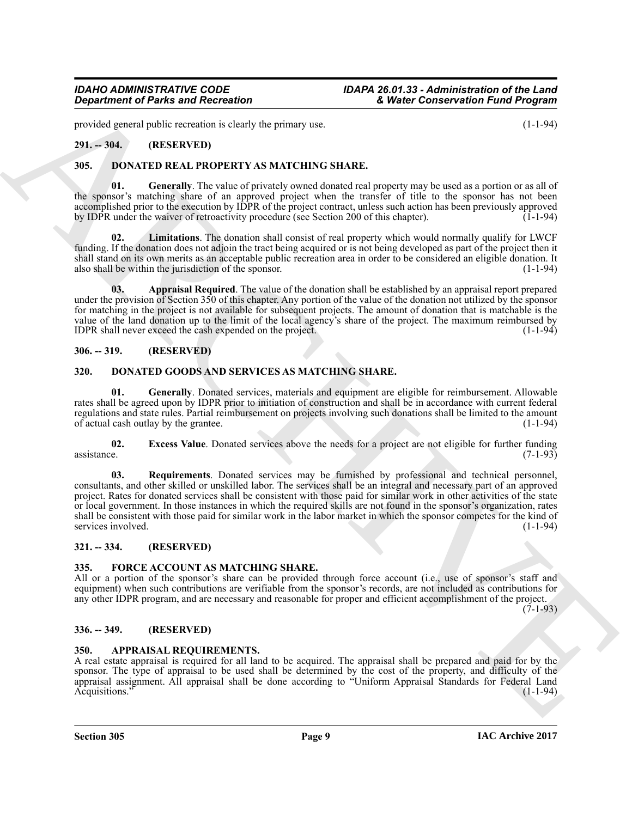provided general public recreation is clearly the primary use. (1-1-94)

### <span id="page-8-0"></span>**291. -- 304. (RESERVED)**

#### <span id="page-8-13"></span><span id="page-8-1"></span>**305. DONATED REAL PROPERTY AS MATCHING SHARE.**

<span id="page-8-15"></span>**01.** Generally. The value of privately owned donated real property may be used as a portion or as all of the sponsor's matching share of an approved project when the transfer of title to the sponsor has not been accomplished prior to the execution by IDPR of the project contract, unless such action has been previously approved by IDPR under the waiver of retroactivity procedure (see Section 200 of this chapter). (1-1-94)

<span id="page-8-16"></span>**02. Limitations**. The donation shall consist of real property which would normally qualify for LWCF funding. If the donation does not adjoin the tract being acquired or is not being developed as part of the project then it shall stand on its own merits as an acceptable public recreation area in order to be considered an eligible donation. It also shall be within the jurisdiction of the sponsor. (1-1-94)

<span id="page-8-14"></span>**03. Appraisal Required**. The value of the donation shall be established by an appraisal report prepared under the provision of Section 350 of this chapter. Any portion of the value of the donation not utilized by the sponsor for matching in the project is not available for subsequent projects. The amount of donation that is matchable is the value of the land donation up to the limit of the local agency's share of the project. The maximum reimbursed by IDPR shall never exceed the cash expended on the project. IDPR shall never exceed the cash expended on the project.

#### <span id="page-8-2"></span>**306. -- 319. (RESERVED)**

#### <span id="page-8-9"></span><span id="page-8-3"></span>**320. DONATED GOODS AND SERVICES AS MATCHING SHARE.**

<span id="page-8-11"></span>**01. Generally**. Donated services, materials and equipment are eligible for reimbursement. Allowable rates shall be agreed upon by IDPR prior to initiation of construction and shall be in accordance with current federal regulations and state rules. Partial reimbursement on projects involving such donations shall be limited to the amount of actual cash outlay by the grantee. of actual cash outlay by the grantee.

<span id="page-8-12"></span><span id="page-8-10"></span>**02.** Excess Value. Donated services above the needs for a project are not eligible for further funding assistance. (7-1-93) assistance. (7-1-93)

*Great from the This said Record to the United Vietnam Conservation Fundam (1-1-9)***<br>
2003. ARCHIVES AND CONSERVATION (1-1-9)<br>
2015. <b>BOXITY AND CONSERVATION CONSERVATION (1-1-9)**<br>
2015. **BOXITY AND CONSERVATION STARTED ( 03. Requirements**. Donated services may be furnished by professional and technical personnel, consultants, and other skilled or unskilled labor. The services shall be an integral and necessary part of an approved project. Rates for donated services shall be consistent with those paid for similar work in other activities of the state or local government. In those instances in which the required skills are not found in the sponsor's organization, rates shall be consistent with those paid for similar work in the labor market in which the sponsor competes for the kind of services involved. (1-1-94)

#### <span id="page-8-4"></span>**321. -- 334. (RESERVED)**

#### <span id="page-8-17"></span><span id="page-8-5"></span>**335. FORCE ACCOUNT AS MATCHING SHARE.**

All or a portion of the sponsor's share can be provided through force account (i.e., use of sponsor's staff and equipment) when such contributions are verifiable from the sponsor's records, are not included as contributions for any other IDPR program, and are necessary and reasonable for proper and efficient accomplishment of the project.

 $(7-1-93)$ 

#### <span id="page-8-6"></span>**336. -- 349. (RESERVED)**

#### <span id="page-8-8"></span><span id="page-8-7"></span>**350. APPRAISAL REQUIREMENTS.**

A real estate appraisal is required for all land to be acquired. The appraisal shall be prepared and paid for by the sponsor. The type of appraisal to be used shall be determined by the cost of the property, and difficulty of the appraisal assignment. All appraisal shall be done according to "Uniform Appraisal Standards for Federal Land<br>Acquisitions." (1-1-94) Acquisitions." (1-1-94)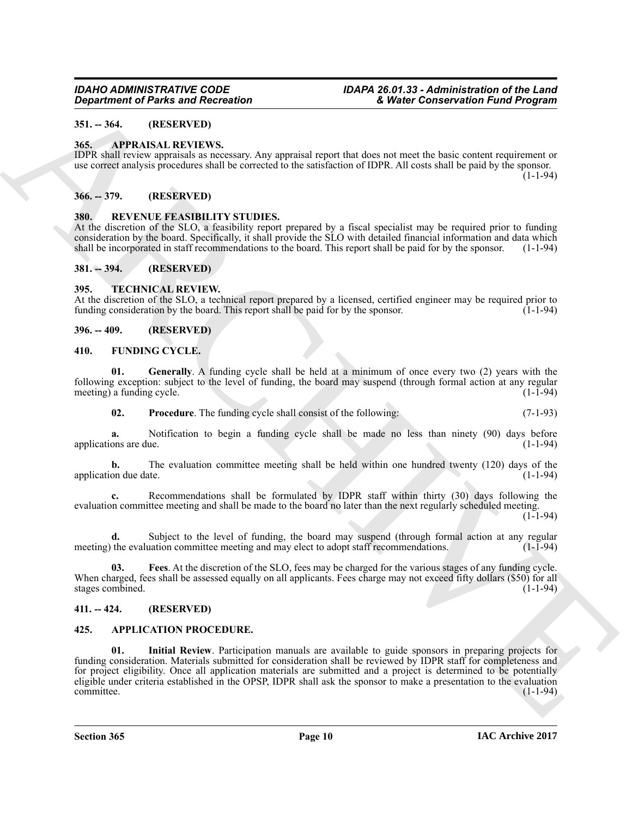### <span id="page-9-0"></span>**351. -- 364. (RESERVED)**

#### <span id="page-9-12"></span><span id="page-9-1"></span>**365. APPRAISAL REVIEWS.**

IDPR shall review appraisals as necessary. Any appraisal report that does not meet the basic content requirement or use correct analysis procedures shall be corrected to the satisfaction of IDPR. All costs shall be paid by the sponsor.

 $(1 - 1 - 94)$ 

#### <span id="page-9-2"></span>**366. -- 379. (RESERVED)**

#### <span id="page-9-17"></span><span id="page-9-3"></span>**380. REVENUE FEASIBILITY STUDIES.**

At the discretion of the SLO, a feasibility report prepared by a fiscal specialist may be required prior to funding consideration by the board. Specifically, it shall provide the SLO with detailed financial information and data which shall be incorporated in staff recommendations to the board. This report shall be paid for by the sponso shall be incorporated in staff recommendations to the board. This report shall be paid for by the sponsor.

#### <span id="page-9-4"></span>**381. -- 394. (RESERVED)**

#### <span id="page-9-18"></span><span id="page-9-5"></span>**395. TECHNICAL REVIEW.**

At the discretion of the SLO, a technical report prepared by a licensed, certified engineer may be required prior to funding consideration by the board. This report shall be paid for by the sponsor. (1-1-94)

#### <span id="page-9-6"></span>**396. -- 409. (RESERVED)**

#### <span id="page-9-13"></span><span id="page-9-7"></span>**410. FUNDING CYCLE.**

**01. Generally**. A funding cycle shall be held at a minimum of once every two (2) years with the following exception: subject to the level of funding, the board may suspend (through formal action at any regular meeting) a funding cycle.  $(1-1-94)$  $meeting)$  a funding cycle.

<span id="page-9-16"></span><span id="page-9-15"></span>**02.** Procedure. The funding cycle shall consist of the following: (7-1-93)

**a.** Notification to begin a funding cycle shall be made no less than ninety (90) days before ons are due. (1-1-94) applications are due.

**b.** The evaluation committee meeting shall be held within one hundred twenty (120) days of the on due date. (1-1-94) application due date.

**c.** Recommendations shall be formulated by IDPR staff within thirty (30) days following the evaluation committee meeting and shall be made to the board no later than the next regularly scheduled meeting.

 $(1 - 1 - 94)$ 

**d.** Subject to the level of funding, the board may suspend (through formal action at any regular the evaluation committee meeting and may elect to adopt staff recommendations. (1-1-94) meeting) the evaluation committee meeting and may elect to adopt staff recommendations.

<span id="page-9-14"></span>**03. Fees**. At the discretion of the SLO, fees may be charged for the various stages of any funding cycle. When charged, fees shall be assessed equally on all applicants. Fees charge may not exceed fifty dollars (\$50) for all stages combined. (1-1-94) stages combined.

#### <span id="page-9-8"></span>**411. -- 424. (RESERVED)**

#### <span id="page-9-11"></span><span id="page-9-10"></span><span id="page-9-9"></span>**425. APPLICATION PROCEDURE.**

Government of Parks and Recreation<br>
31. Where Conservation Frank Barriston (1988)<br>
33. - SPP MASSAL REVIEW (1988)<br>
34. - SPP MASSAL REVIEW (1988)<br>
24. - SPP MASSAL REVIEW (1988)<br>
24. - SPP MASSAL REVIEW (1988)<br>
34. - SPP **01. Initial Review**. Participation manuals are available to guide sponsors in preparing projects for funding consideration. Materials submitted for consideration shall be reviewed by IDPR staff for completeness and for project eligibility. Once all application materials are submitted and a project is determined to be potentially eligible under criteria established in the OPSP, IDPR shall ask the sponsor to make a presentation to the evaluation committee. (1-1-94)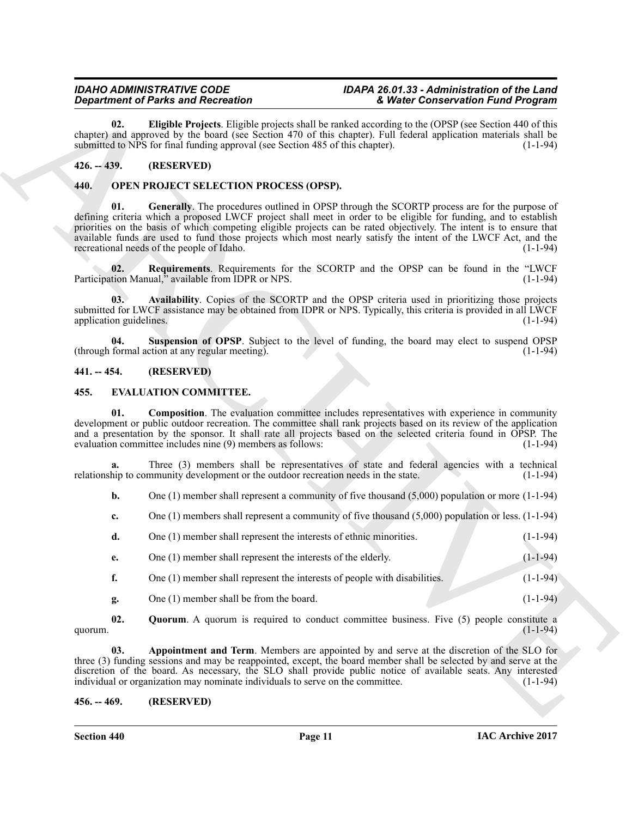<span id="page-10-5"></span>**02. Eligible Projects**. Eligible projects shall be ranked according to the (OPSP (see Section 440 of this chapter) and approved by the board (see Section 470 of this chapter). Full federal application materials shall be submitted to NPS for final funding approval (see Section 485 of this chapter). (1-1-94) submitted to NPS for final funding approval (see Section 485 of this chapter).

#### <span id="page-10-0"></span>**426. -- 439. (RESERVED)**

#### <span id="page-10-12"></span><span id="page-10-10"></span><span id="page-10-1"></span>**440. OPEN PROJECT SELECTION PROCESS (OPSP).**

**Equivalent of Points and Recordstraints and Recordstraints and Recordstraints and Recordstraints and Recordstraints and Recordstraints and Recordstraints and Recordstraints and Recordstraints and Recordstraints and Recor 01. Generally**. The procedures outlined in OPSP through the SCORTP process are for the purpose of defining criteria which a proposed LWCF project shall meet in order to be eligible for funding, and to establish priorities on the basis of which competing eligible projects can be rated objectively. The intent is to ensure that available funds are used to fund those projects which most nearly satisfy the intent of the LWCF Act, and the recreational needs of the people of Idaho.

<span id="page-10-13"></span>**02.** Requirements. Requirements for the SCORTP and the OPSP can be found in the "LWCF tion Manual," available from IDPR or NPS. (1-1-94) Participation Manual," available from IDPR or NPS.

<span id="page-10-11"></span>**03. Availability**. Copies of the SCORTP and the OPSP criteria used in prioritizing those projects submitted for LWCF assistance may be obtained from IDPR or NPS. Typically, this criteria is provided in all LWCF application guidelines. (1-1-94) application guidelines.

<span id="page-10-14"></span>**04.** Suspension of OPSP. Subject to the level of funding, the board may elect to suspend OPSP formal action at any regular meeting). (1-1-94)  $(throught formula action at any regular meeting).$ 

#### <span id="page-10-2"></span>**441. -- 454. (RESERVED)**

#### <span id="page-10-8"></span><span id="page-10-6"></span><span id="page-10-3"></span>**455. EVALUATION COMMITTEE.**

**01.** Composition. The evaluation committee includes representatives with experience in community development or public outdoor recreation. The committee shall rank projects based on its review of the application and a presentation by the sponsor. It shall rate all projects based on the selected criteria found in OPSP. The evaluation committee includes nine  $(9)$  members as follows:  $(1-1-94)$ evaluation committee includes nine (9) members as follows:

**a.** Three (3) members shall be representatives of state and federal agencies with a technical hip to community development or the outdoor recreation needs in the state. (1-1-94) relationship to community development or the outdoor recreation needs in the state.

- **b.** One (1) member shall represent a community of five thousand (5,000) population or more (1-1-94)
- **c.** One (1) members shall represent a community of five thousand (5,000) population or less. (1-1-94)
- **d.** One (1) member shall represent the interests of ethnic minorities. (1-1-94)
- **e.** One (1) member shall represent the interests of the elderly. (1-1-94)
- **f.** One (1) member shall represent the interests of people with disabilities. (1-1-94)
- <span id="page-10-9"></span><span id="page-10-7"></span>**g.** One (1) member shall be from the board. (1-1-94)

**02. Quorum**. A quorum is required to conduct committee business. Five (5) people constitute a  $(1-1-94)$ quorum. (1-1-94)

**03. Appointment and Term**. Members are appointed by and serve at the discretion of the SLO for three (3) funding sessions and may be reappointed, except, the board member shall be selected by and serve at the discretion of the board. As necessary, the SLO shall provide public notice of available seats. Any interested individual or organization may nominate individuals to serve on the committee. (1-1-94) individual or organization may nominate individuals to serve on the committee.

#### <span id="page-10-4"></span>**456. -- 469. (RESERVED)**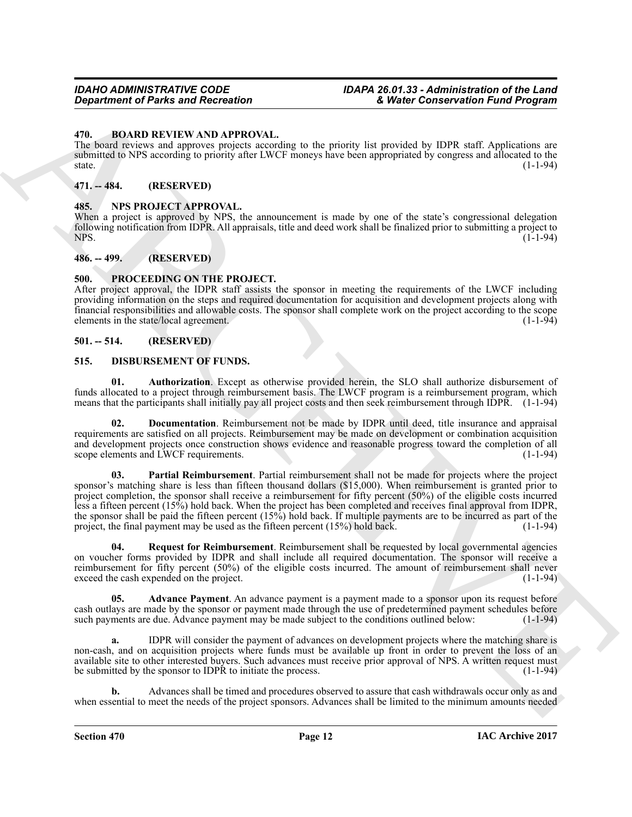#### <span id="page-11-7"></span><span id="page-11-0"></span>**470. BOARD REVIEW AND APPROVAL.**

The board reviews and approves projects according to the priority list provided by IDPR staff. Applications are submitted to NPS according to priority after LWCF moneys have been appropriated by congress and allocated to the  ${\rm state.}$  (1-1-94)

#### <span id="page-11-1"></span>**471. -- 484. (RESERVED)**

#### <span id="page-11-14"></span><span id="page-11-2"></span>**485. NPS PROJECT APPROVAL.**

When a project is approved by NPS, the announcement is made by one of the state's congressional delegation following notification from IDPR. All appraisals, title and deed work shall be finalized prior to submitting a project to NPS. (1-1-94)

#### <span id="page-11-3"></span>**486. -- 499. (RESERVED)**

#### <span id="page-11-15"></span><span id="page-11-4"></span>**500. PROCEEDING ON THE PROJECT.**

After project approval, the IDPR staff assists the sponsor in meeting the requirements of the LWCF including providing information on the steps and required documentation for acquisition and development projects along with financial responsibilities and allowable costs. The sponsor shall complete work on the project according to the scope elements in the state/local agreement.

#### <span id="page-11-5"></span>**501. -- 514. (RESERVED)**

#### <span id="page-11-8"></span><span id="page-11-6"></span>**515. DISBURSEMENT OF FUNDS.**

<span id="page-11-10"></span>**01. Authorization**. Except as otherwise provided herein, the SLO shall authorize disbursement of funds allocated to a project through reimbursement basis. The LWCF program is a reimbursement program, which means that the participants shall initially pay all project costs and then seek reimbursement through IDPR. (1-1-94)

<span id="page-11-12"></span><span id="page-11-11"></span>**02. Documentation**. Reimbursement not be made by IDPR until deed, title insurance and appraisal requirements are satisfied on all projects. Reimbursement may be made on development or combination acquisition and development projects once construction shows evidence and reasonable progress toward the completion of all scope elements and LWCF requirements. (1-1-94)

*Characteristic Characteristics*<br> **Characteristic Characteristics C**<sub>C</sub> is the priority lie product of the property of the state content of the state of the state of the state of the state of the state of the state of **03. Partial Reimbursement**. Partial reimbursement shall not be made for projects where the project sponsor's matching share is less than fifteen thousand dollars (\$15,000). When reimbursement is granted prior to project completion, the sponsor shall receive a reimbursement for fifty percent (50%) of the eligible costs incurred less a fifteen percent (15%) hold back. When the project has been completed and receives final approval from IDPR, the sponsor shall be paid the fifteen percent  $(15\%)$  hold back. If multiple payments are to be incurred as part of the project, the final payment may be used as the fifteen percent  $(15\%)$  hold back. (1-1-94) project, the final payment may be used as the fifteen percent  $(15%)$  hold back.

<span id="page-11-13"></span>**04.** Request for Reimbursement. Reimbursement shall be requested by local governmental agencies on voucher forms provided by IDPR and shall include all required documentation. The sponsor will receive a reimbursement for fifty percent (50%) of the eligible costs incurred. The amount of reimbursement shall never exceed the cash expended on the project. (1-1-94) exceed the cash expended on the project.

<span id="page-11-9"></span>**05. Advance Payment**. An advance payment is a payment made to a sponsor upon its request before cash outlays are made by the sponsor or payment made through the use of predetermined payment schedules before such payments are due. Advance payment may be made subject to the conditions outlined below: (1-1-94) such payments are due. Advance payment may be made subject to the conditions outlined below:

**a.** IDPR will consider the payment of advances on development projects where the matching share is non-cash, and on acquisition projects where funds must be available up front in order to prevent the loss of an available site to other interested buyers. Such advances must receive prior approval of NPS. A written request must<br>be submitted by the sponsor to IDPR to initiate the process. be submitted by the sponsor to IDPR to initiate the process.

**b.** Advances shall be timed and procedures observed to assure that cash withdrawals occur only as and when essential to meet the needs of the project sponsors. Advances shall be limited to the minimum amounts needed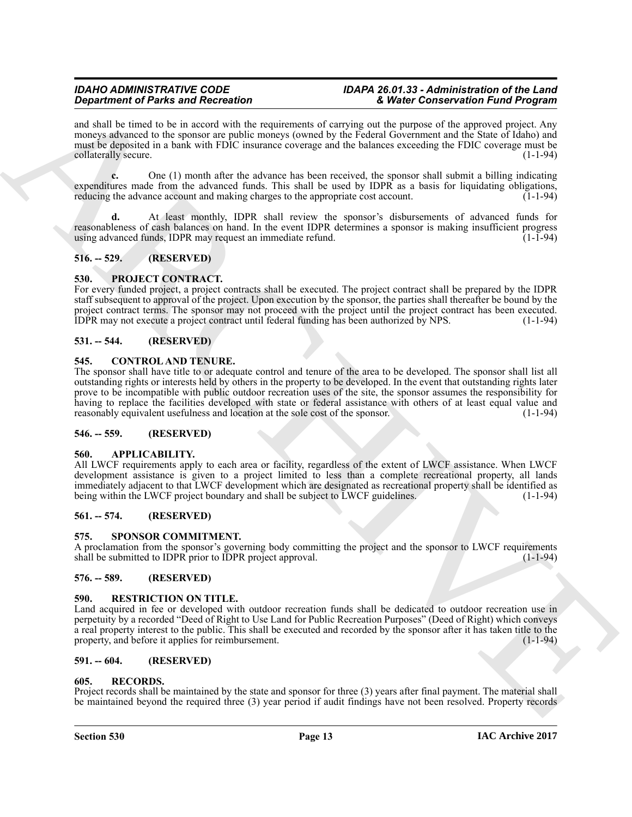and shall be timed to be in accord with the requirements of carrying out the purpose of the approved project. Any moneys advanced to the sponsor are public moneys (owned by the Federal Government and the State of Idaho) and must be deposited in a bank with FDIC insurance coverage and the balances exceeding the FDIC coverage must be collaterally secure. (1-1-94)

**c.** One (1) month after the advance has been received, the sponsor shall submit a billing indicating expenditures made from the advanced funds. This shall be used by IDPR as a basis for liquidating obligations, reducing the advance account and making charges to the appropriate cost account.  $(1-1-94)$ 

**d.** At least monthly, IDPR shall review the sponsor's disbursements of advanced funds for reasonableness of cash balances on hand. In the event IDPR determines a sponsor is making insufficient progress using advanced funds, IDPR may request an immediate refund.

### <span id="page-12-0"></span>**516. -- 529. (RESERVED)**

### <span id="page-12-14"></span><span id="page-12-1"></span>**530. PROJECT CONTRACT.**

For every funded project, a project contracts shall be executed. The project contract shall be prepared by the IDPR staff subsequent to approval of the project. Upon execution by the sponsor, the parties shall thereafter be bound by the project contract terms. The sponsor may not proceed with the project until the project contract has been executed. IDPR may not execute a project contract until federal funding has been authorized by NPS. (1-1-94)

### <span id="page-12-2"></span>**531. -- 544. (RESERVED)**

#### <span id="page-12-13"></span><span id="page-12-3"></span>**545. CONTROL AND TENURE.**

**Experiment of Paint School of Action Contents and the contents of the specifical specifical specifical specifical specifical specifical specifical specifical specifical specifical specifical specifical specifical specifi** The sponsor shall have title to or adequate control and tenure of the area to be developed. The sponsor shall list all outstanding rights or interests held by others in the property to be developed. In the event that outstanding rights later prove to be incompatible with public outdoor recreation uses of the site, the sponsor assumes the responsibility for having to replace the facilities developed with state or federal assistance with others of at least equal value and reasonably equivalent usefulness and location at the sole cost of the sponsor. (1-1-94) reasonably equivalent usefulness and location at the sole cost of the sponsor.

#### <span id="page-12-4"></span>**546. -- 559. (RESERVED)**

#### <span id="page-12-12"></span><span id="page-12-5"></span>**560. APPLICABILITY.**

All LWCF requirements apply to each area or facility, regardless of the extent of LWCF assistance. When LWCF development assistance is given to a project limited to less than a complete recreational property, all lands immediately adjacent to that LWCF development which are designated as recreational property shall be identified as being within the LWCF project boundary and shall be subject to LWCF guidelines. (1-1-94)

### <span id="page-12-6"></span>**561. -- 574. (RESERVED)**

#### <span id="page-12-17"></span><span id="page-12-7"></span>**575. SPONSOR COMMITMENT.**

A proclamation from the sponsor's governing body committing the project and the sponsor to LWCF requirements shall be submitted to IDPR prior to IDPR project approval. (1-1-94)

### <span id="page-12-8"></span>**576. -- 589. (RESERVED)**

#### <span id="page-12-16"></span><span id="page-12-9"></span>**590. RESTRICTION ON TITLE.**

Land acquired in fee or developed with outdoor recreation funds shall be dedicated to outdoor recreation use in perpetuity by a recorded "Deed of Right to Use Land for Public Recreation Purposes" (Deed of Right) which conveys a real property interest to the public. This shall be executed and recorded by the sponsor after it has taken title to the property, and before it applies for reimbursement. property, and before it applies for reimbursement.

#### <span id="page-12-10"></span>**591. -- 604. (RESERVED)**

#### <span id="page-12-15"></span><span id="page-12-11"></span>**605. RECORDS.**

Project records shall be maintained by the state and sponsor for three (3) years after final payment. The material shall be maintained beyond the required three (3) year period if audit findings have not been resolved. Property records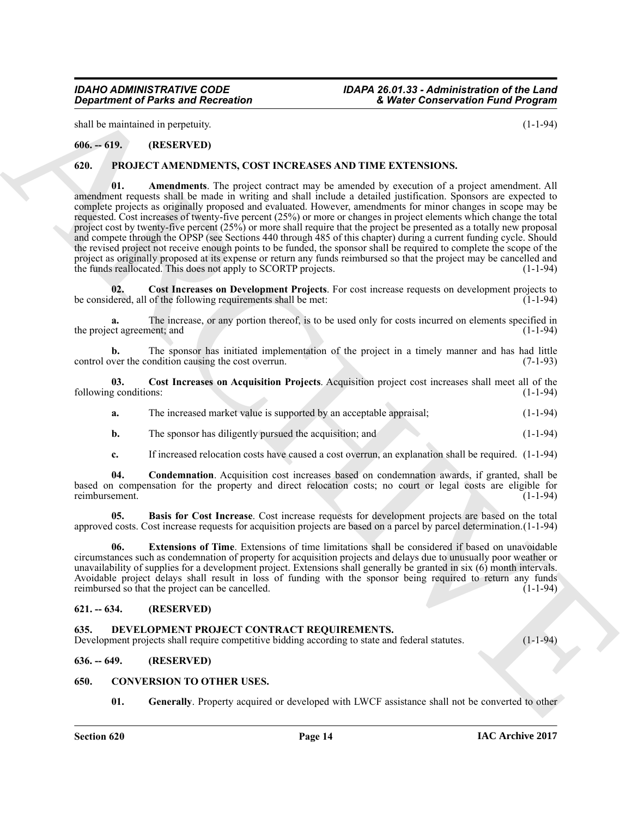shall be maintained in perpetuity. (1-1-94)

### <span id="page-13-0"></span>**606. -- 619. (RESERVED)**

#### <span id="page-13-10"></span><span id="page-13-9"></span><span id="page-13-1"></span>**620. PROJECT AMENDMENTS, COST INCREASES AND TIME EXTENSIONS.**

*Great transformation of Parks and Recreation* **<b>EVALUATION** (1-1-94)<br>
ARCHIVES CONTINUOSITY (1-1-94)<br>
ARCHIVES CONTINUOSITY (1-1-94)<br>
ARCHIVES CONTINUOSITY (CONTINUOSITY (CONTINUOSITY) (2)<br> **CALUATION CONTINUOSITY (1-1-9 01. Amendments**. The project contract may be amended by execution of a project amendment. All amendment requests shall be made in writing and shall include a detailed justification. Sponsors are expected to complete projects as originally proposed and evaluated. However, amendments for minor changes in scope may be requested. Cost increases of twenty-five percent (25%) or more or changes in project elements which change the total project cost by twenty-five percent (25%) or more shall require that the project be presented as a totally new proposal and compete through the OPSP (see Sections 440 through 485 of this chapter) during a current funding cycle. Should the revised project not receive enough points to be funded, the sponsor shall be required to complete the scope of the project as originally proposed at its expense or return any funds reimbursed so that the project may be cancelled and the funds reallocated. This does not apply to SCORTP projects. (1-1-94)

<span id="page-13-14"></span>**02.** Cost Increases on Development Projects. For cost increase requests on development projects to lered, all of the following requirements shall be met: (1-1-94) be considered, all of the following requirements shall be met:

The increase, or any portion thereof, is to be used only for costs incurred on elements specified in nent; and (1-1-94) the project agreement; and

**b.** The sponsor has initiated implementation of the project in a timely manner and has had little ver the condition causing the cost overrun. (7-1-93) control over the condition causing the cost overrun.

**03. Cost Increases on Acquisition Projects**. Acquisition project cost increases shall meet all of the following conditions:

- <span id="page-13-13"></span>**a.** The increased market value is supported by an acceptable appraisal; (1-1-94)
- **b.** The sponsor has diligently pursued the acquisition; and  $(1-1-94)$
- <span id="page-13-12"></span><span id="page-13-11"></span>**c.** If increased relocation costs have caused a cost overrun, an explanation shall be required. (1-1-94)

**04. Condemnation**. Acquisition cost increases based on condemnation awards, if granted, shall be based on compensation for the property and direct relocation costs; no court or legal costs are eligible for reimbursement.

**05. Basis for Cost Increase**. Cost increase requests for development projects are based on the total approved costs. Cost increase requests for acquisition projects are based on a parcel by parcel determination.(1-1-94)

<span id="page-13-15"></span>**06. Extensions of Time**. Extensions of time limitations shall be considered if based on unavoidable circumstances such as condemnation of property for acquisition projects and delays due to unusually poor weather or unavailability of supplies for a development project. Extensions shall generally be granted in six (6) month intervals. Avoidable project delays shall result in loss of funding with the sponsor being required to return any funds reimbursed so that the project can be cancelled. reimbursed so that the project can be cancelled.

#### <span id="page-13-2"></span>**621. -- 634. (RESERVED)**

#### <span id="page-13-8"></span><span id="page-13-3"></span>**635. DEVELOPMENT PROJECT CONTRACT REQUIREMENTS.**

Development projects shall require competitive bidding according to state and federal statutes. (1-1-94)

### <span id="page-13-4"></span>**636. -- 649. (RESERVED)**

#### <span id="page-13-5"></span>**650. CONVERSION TO OTHER USES.**

<span id="page-13-7"></span><span id="page-13-6"></span>**01.** Generally. Property acquired or developed with LWCF assistance shall not be converted to other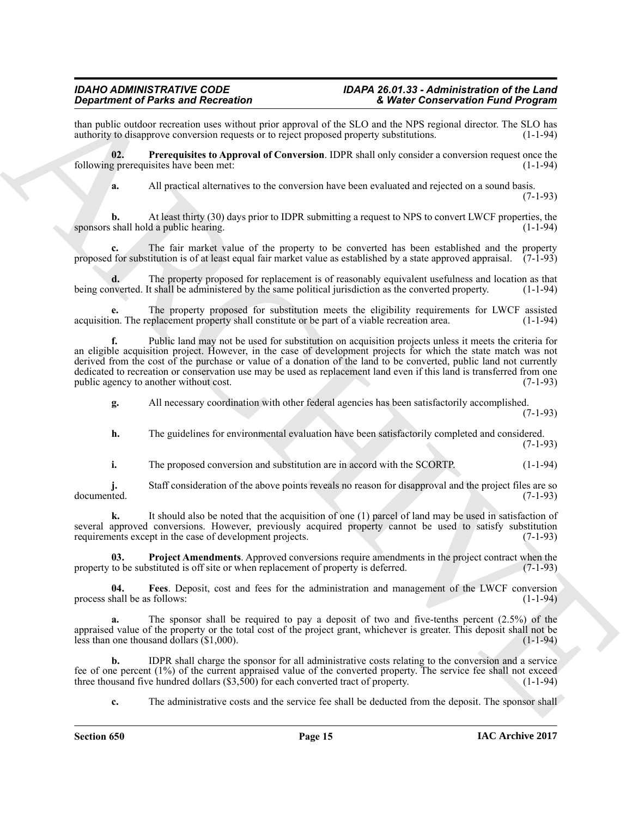## *Department of Parks and Recreation*

than public outdoor recreation uses without prior approval of the SLO and the NPS regional director. The SLO has authority to disapprove conversion requests or to reject proposed property substitutions. (1-1-94) authority to disapprove conversion requests or to reject proposed property substitutions.

**02. Prerequisites to Approval of Conversion**. IDPR shall only consider a conversion request once the following prerequisites have been met: (1-1-94)

<span id="page-14-1"></span>**a.** All practical alternatives to the conversion have been evaluated and rejected on a sound basis.

**b.** At least thirty (30) days prior to IDPR submitting a request to NPS to convert LWCF properties, the shall hold a public hearing. (1-1-94) sponsors shall hold a public hearing.

**c.** The fair market value of the property to be converted has been established and the property proposed for substitution is of at least equal fair market value as established by a state approved appraisal.  $(7-1-93)$ 

**d.** The property proposed for replacement is of reasonably equivalent usefulness and location as that nverted. It shall be administered by the same political jurisdiction as the converted property. (1-1-94) being converted. It shall be administered by the same political jurisdiction as the converted property.

**e.** The property proposed for substitution meets the eligibility requirements for LWCF assisted on. The replacement property shall constitute or be part of a viable recreation area. (1-1-94) acquisition. The replacement property shall constitute or be part of a viable recreation area.

**Singurized relations of the same of the same of the sky in Conservation Fully and the sky in the same of the sky in the same of the sky in the same of the sky in the sky in the sky in the sky in the sky in the sky in the f.** Public land may not be used for substitution on acquisition projects unless it meets the criteria for an eligible acquisition project. However, in the case of development projects for which the state match was not derived from the cost of the purchase or value of a donation of the land to be converted, public land not currently dedicated to recreation or conservation use may be used as replacement land even if this land is transferred from one public agency to another without cost. (7-1-93) public agency to another without cost.

**g.** All necessary coordination with other federal agencies has been satisfactorily accomplished.

(7-1-93)

 $(7-1-93)$ 

**h.** The guidelines for environmental evaluation have been satisfactorily completed and considered. (7-1-93)

**i.** The proposed conversion and substitution are in accord with the SCORTP. (1-1-94)

**j.** Staff consideration of the above points reveals no reason for disapproval and the project files are so documented. (7-1-93) documented. (7-1-93)

**k.** It should also be noted that the acquisition of one (1) parcel of land may be used in satisfaction of several approved conversions. However, previously acquired property cannot be used to satisfy substitution requirements except in the case of development projects. (7-1-93) requirements except in the case of development projects.

<span id="page-14-2"></span>**03. Project Amendments**. Approved conversions require amendments in the project contract when the to be substituted is off site or when replacement of property is deferred. (7-1-93) property to be substituted is off site or when replacement of property is deferred.

<span id="page-14-0"></span>**04.** Fees. Deposit, cost and fees for the administration and management of the LWCF conversion hall be as follows: (1-1-94) process shall be as follows:

**a.** The sponsor shall be required to pay a deposit of two and five-tenths percent (2.5%) of the appraised value of the property or the total cost of the project grant, whichever is greater. This deposit shall not be less than one thousand dollars  $(\$1,000)$ . (1-1-94) less than one thousand dollars  $(1,000)$ .

**b.** IDPR shall charge the sponsor for all administrative costs relating to the conversion and a service fee of one percent (1%) of the current appraised value of the converted property. The service fee shall not exceed three thousand five hundred dollars (\$3,500) for each converted tract of property.  $(1-1-94)$ three thousand five hundred dollars  $(\$3,500)$  for each converted tract of property.

**c.** The administrative costs and the service fee shall be deducted from the deposit. The sponsor shall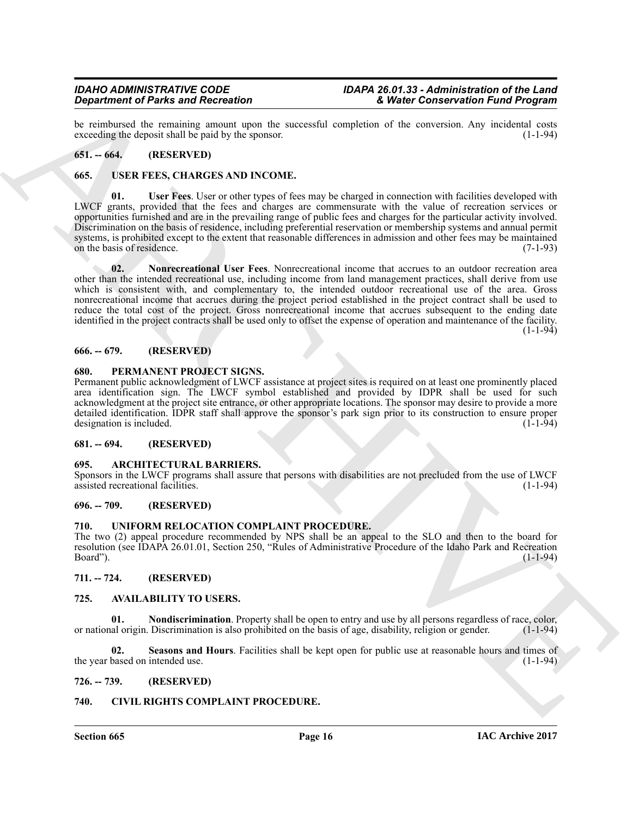be reimbursed the remaining amount upon the successful completion of the conversion. Any incidental costs exceeding the deposit shall be paid by the sponsor. (1-1-94) exceeding the deposit shall be paid by the sponsor.

#### <span id="page-15-0"></span>**651. -- 664. (RESERVED)**

#### <span id="page-15-18"></span><span id="page-15-1"></span>**665. USER FEES, CHARGES AND INCOME.**

<span id="page-15-20"></span><span id="page-15-19"></span>**01.** User Fees. User or other types of fees may be charged in connection with facilities developed with LWCF grants, provided that the fees and charges are commensurate with the value of recreation services or opportunities furnished and are in the prevailing range of public fees and charges for the particular activity involved. Discrimination on the basis of residence, including preferential reservation or membership systems and annual permit systems, is prohibited except to the extent that reasonable differences in admission and other fees may be maintained<br>on the basis of residence. (7-1-93) on the basis of residence.

**Experiment of Paint and Recorded to entropy the secondary temperature and the secondary and the secondary of the secondary of the secondary of the secondary of the secondary of the secondary of the secondary of the secon 02. Nonrecreational User Fees**. Nonrecreational income that accrues to an outdoor recreation area other than the intended recreational use, including income from land management practices, shall derive from use which is consistent with, and complementary to, the intended outdoor recreational use of the area. Gross nonrecreational income that accrues during the project period established in the project contract shall be used to reduce the total cost of the project. Gross nonrecreational income that accrues subsequent to the ending date identified in the project contracts shall be used only to offset the expense of operation and maintenance of the facility.  $(1 - 1 - 94)$ 

#### <span id="page-15-2"></span>**666. -- 679. (RESERVED)**

#### <span id="page-15-17"></span><span id="page-15-3"></span>**680. PERMANENT PROJECT SIGNS.**

Permanent public acknowledgment of LWCF assistance at project sites is required on at least one prominently placed area identification sign. The LWCF symbol established and provided by IDPR shall be used for such acknowledgment at the project site entrance, or other appropriate locations. The sponsor may desire to provide a more detailed identification. IDPR staff shall approve the sponsor's park sign prior to its construction to ensure proper<br>designation is included. (1-1-94) designation is included.

#### <span id="page-15-4"></span>**681. -- 694. (RESERVED)**

#### <span id="page-15-12"></span><span id="page-15-5"></span>**695. ARCHITECTURAL BARRIERS.**

Sponsors in the LWCF programs shall assure that persons with disabilities are not precluded from the use of LWCF assisted recreational facilities. (1-1-94) assisted recreational facilities.

#### <span id="page-15-6"></span>**696. -- 709. (RESERVED)**

#### <span id="page-15-7"></span>**710. UNIFORM RELOCATION COMPLAINT PROCEDURE.**

The two (2) appeal procedure recommended by NPS shall be an appeal to the SLO and then to the board for resolution (see IDAPA 26.01.01, Section 250, "Rules of Administrative Procedure of the Idaho Park and Recreation Board"). (1-1-94)

#### <span id="page-15-8"></span>**711. -- 724. (RESERVED)**

#### <span id="page-15-13"></span><span id="page-15-9"></span>**725. AVAILABILITY TO USERS.**

<span id="page-15-14"></span>**01. Nondiscrimination**. Property shall be open to entry and use by all persons regardless of race, color, all origin. Discrimination is also prohibited on the basis of age, disability, religion or gender. (1-1-94) or national origin. Discrimination is also prohibited on the basis of age, disability, religion or gender.

<span id="page-15-15"></span>**02. Seasons and Hours**. Facilities shall be kept open for public use at reasonable hours and times of the year based on intended use.

#### <span id="page-15-10"></span>**726. -- 739. (RESERVED)**

#### <span id="page-15-16"></span><span id="page-15-11"></span>**740. CIVIL RIGHTS COMPLAINT PROCEDURE.**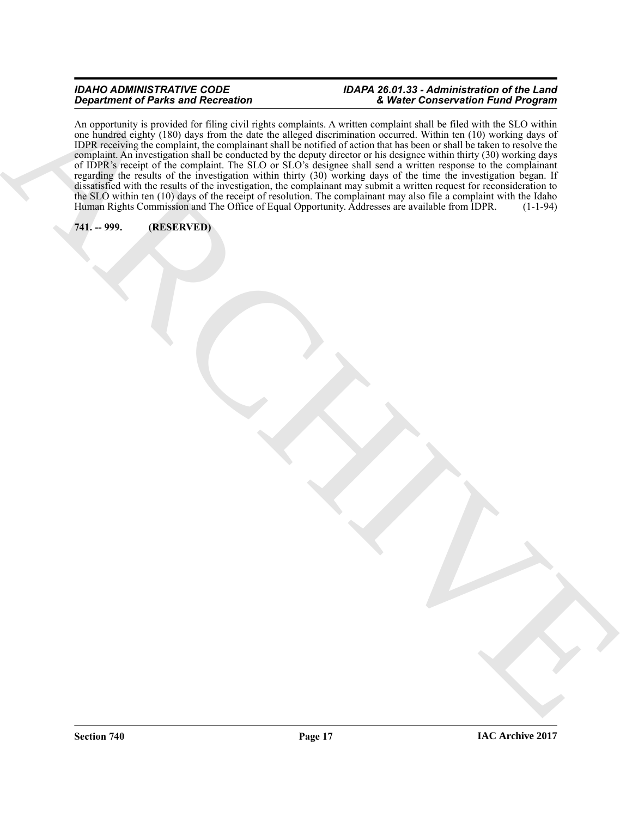Experience of Print and Records.<br>
ARCHIVES CONTROL IN CONTROL INTERNATIONAL ARCHIVES CONTROL INTERNATIONAL ARCHIVES CONTROL INTERNATIONAL AND <br>
THE CONTROL INTERNATIONAL ARCHIVES CONTROL INTERNATIONAL ARCHIVES CONTROL INTE An opportunity is provided for filing civil rights complaints. A written complaint shall be filed with the SLO within one hundred eighty (180) days from the date the alleged discrimination occurred. Within ten (10) working days of IDPR receiving the complaint, the complainant shall be notified of action that has been or shall be taken to resolve the complaint. An investigation shall be conducted by the deputy director or his designee within thirty (30) working days of IDPR's receipt of the complaint. The SLO or SLO's designee shall send a written response to the complainant regarding the results of the investigation within thirty (30) working days of the time the investigation began. If dissatisfied with the results of the investigation, the complainant may submit a written request for reconsideration to the SLO within ten (10) days of the receipt of resolution. The complainant may also file a complaint with the Idaho Human Rights Commission and The Office of Equal Opportunity. Addresses are available from IDPR. (1-1-94)

### <span id="page-16-0"></span>**741. -- 999. (RESERVED)**